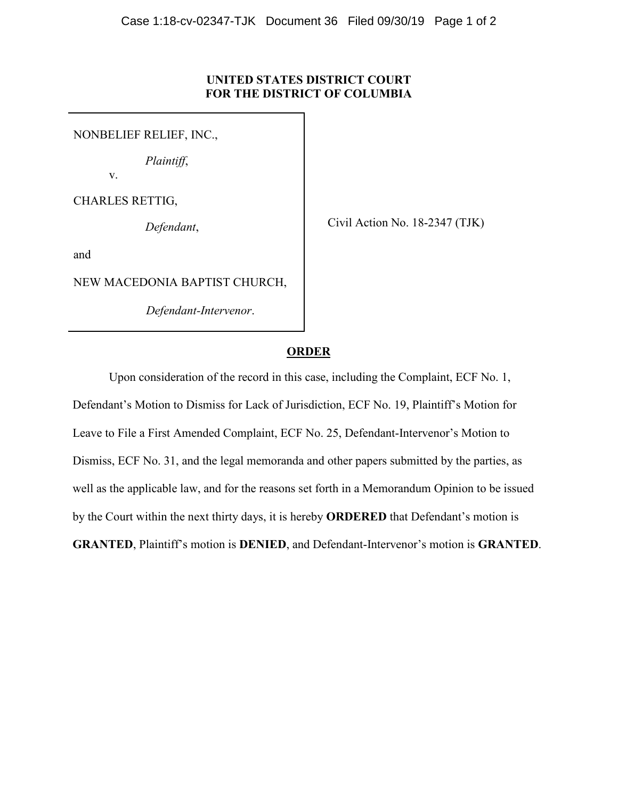## **UNITED STATES DISTRICT COURT FOR THE DISTRICT OF COLUMBIA**

NONBELIEF RELIEF, INC.,

*Plaintiff*,

v.

CHARLES RETTIG,

*Defendant*,

Civil Action No. 18-2347 (TJK)

and

NEW MACEDONIA BAPTIST CHURCH,

*Defendant-Intervenor*.

## **ORDER**

Upon consideration of the record in this case, including the Complaint, ECF No. 1, Defendant's Motion to Dismiss for Lack of Jurisdiction, ECF No. 19, Plaintiff's Motion for Leave to File a First Amended Complaint, ECF No. 25, Defendant-Intervenor's Motion to Dismiss, ECF No. 31, and the legal memoranda and other papers submitted by the parties, as well as the applicable law, and for the reasons set forth in a Memorandum Opinion to be issued by the Court within the next thirty days, it is hereby **ORDERED** that Defendant's motion is **GRANTED**, Plaintiff's motion is **DENIED**, and Defendant-Intervenor's motion is **GRANTED**.